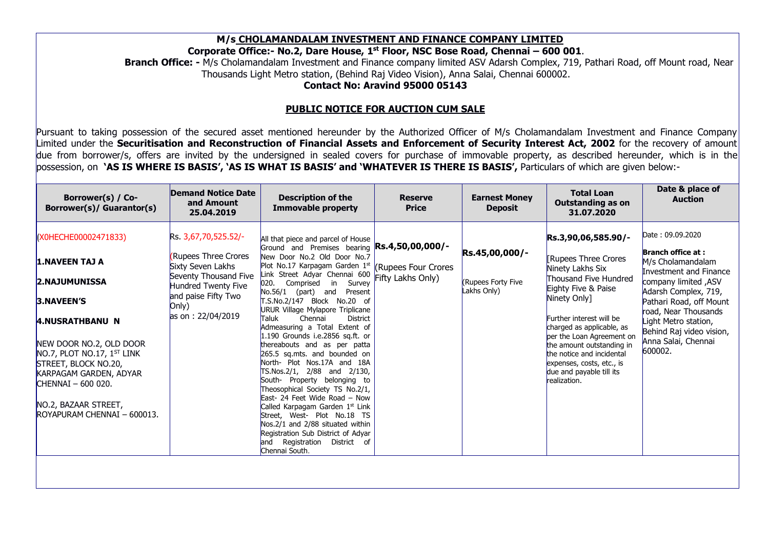M/s CHOLAMANDALAM INVESTMENT AND FINANCE COMPANY LIMITED<br>rate Office:- No.2, Dare House, 1st Floor, NSC Bose Road, Chennai – 600 001.<br>is Cholamandalam Investment and Finance company limited ASV Adarsh Complex, 719, Pathari M/s CHOLAMANDALAM INVESTMENT AND FINANCE COMPANY LIMITED<br>Corporate Office: - No.2, Dare House, 1<sup>st</sup> Floor, NSC Bose Road, Chennai – 600 001.<br>Branch Office: - M/s Cholamandalam Investment and Finance company limited ASV Ad M/s CHOLAMANDALAM INVESTMENT AND FINANCE COMPANY LIMITED<br>Travage office:- No.2, Dare House, 1<sup>st</sup> Floor, NSC Bose Road, Chennai – 600 001.<br>M/s Cholamandalam Investment and Finance company limited ASV Adarsh Complex, 719, P **ALAM INVESTMENT AND FINANCE COMPANY LIMITED**<br> **Dare House, 1<sup>st</sup> Floor, NSC Bose Road, Chennai – 600 001.**<br>
restment and Finance company limited ASV Adarsh Complex, 719, Pathari Road, off Mount road, Near<br>
station, (Behin

**NDALAM INVESTMENT AND FINANCE COMPANY LIMITED**<br> **O.2, Dare House, 1<sup>st</sup> Floor, NSC Bose Road, Chennai – 600 001**.<br>
I Investment and Finance company limited ASV Adarsh Complex, 719, Pathari Road, off Mount road, Near<br>
tro M/s CHOLAMANDALAM INVESTMENT AND FINANCE COMPANY LIMITED<br>
Corporate Office: - No.2, Dare House, 1<sup>st</sup> Floor, NSC Bose Road, Chennai – 600 001.<br>
Branch Office: - M/s Cholamandalam Investment and Finance company limited ASV M/s CHOLAMANDALAM INVESTMENT AND FINANCE COMPANY LIMITED<br>
Corporate Office: - No.2, Dare House, 1<sup>44</sup> Floor, NSC Bose Road, Chennai – 600 001.<br>
Branch Office: - Mis Cholamandalam Investment and Finance company limited ASY Mischen Christian Christian Christian Christian Invited that are invited by the understand of the security limited of the sealed Covers are invited by the understand in Invited Water (Note that Note of Network 2002).<br>
Purs M/s CHOLAMANDALAM INVESTMENT AND FINANCE COMPANY LIMITED<br>
Corporate Office: No.2, Dare House, 1<sup>xt</sup> Floor, NSC Bose Road, Chennai – 600 001.<br>
Thousands Light Metro station, (Behind Raj) Video Vision), Anna Salai, Chennai 6

|                                                                                                                                                                                                                                                                                                                                                                                                                                                                                                                                                                                                               |                                                                                                                                                                       | Corporate Office:- No.2, Dare House, 1st Floor, NSC Bose Road, Chennai - 600 001.<br>Branch Office: - M/s Cholamandalam Investment and Finance company limited ASV Adarsh Complex, 719, Pathari Road, off Mount road, Near<br>Thousands Light Metro station, (Behind Raj Video Vision), Anna Salai, Chennai 600002.                                                                                                                    | <b>Contact No: Aravind 95000 05143</b>          | M/s CHOLAMANDALAM INVESTMENT AND FINANCE COMPANY LIMITED |                                                                                                                                                                                                                             |                                                                                                                                                                                                                                                           |
|---------------------------------------------------------------------------------------------------------------------------------------------------------------------------------------------------------------------------------------------------------------------------------------------------------------------------------------------------------------------------------------------------------------------------------------------------------------------------------------------------------------------------------------------------------------------------------------------------------------|-----------------------------------------------------------------------------------------------------------------------------------------------------------------------|----------------------------------------------------------------------------------------------------------------------------------------------------------------------------------------------------------------------------------------------------------------------------------------------------------------------------------------------------------------------------------------------------------------------------------------|-------------------------------------------------|----------------------------------------------------------|-----------------------------------------------------------------------------------------------------------------------------------------------------------------------------------------------------------------------------|-----------------------------------------------------------------------------------------------------------------------------------------------------------------------------------------------------------------------------------------------------------|
|                                                                                                                                                                                                                                                                                                                                                                                                                                                                                                                                                                                                               |                                                                                                                                                                       | <b>PUBLIC NOTICE FOR AUCTION CUM SALE</b>                                                                                                                                                                                                                                                                                                                                                                                              |                                                 |                                                          |                                                                                                                                                                                                                             |                                                                                                                                                                                                                                                           |
| Pursuant to taking possession of the secured asset mentioned hereunder by the Authorized Officer of M/s Cholamandalam Investment and Finance Company<br>Limited under the Securitisation and Reconstruction of Financial Assets and Enforcement of Security Interest Act, 2002 for the recovery of amount<br>due from borrower/s, offers are invited by the undersigned in sealed covers for purchase of immovable property, as described hereunder, which is in the<br>possession, on 'AS IS WHERE IS BASIS', 'AS IS WHAT IS BASIS' and 'WHATEVER IS THERE IS BASIS', Particulars of which are given below:- | <b>Demand Notice Date</b>                                                                                                                                             |                                                                                                                                                                                                                                                                                                                                                                                                                                        |                                                 |                                                          | <b>Total Loan</b>                                                                                                                                                                                                           | Date & place of                                                                                                                                                                                                                                           |
| Borrower(s) / Co-<br>Borrower(s)/ Guarantor(s)                                                                                                                                                                                                                                                                                                                                                                                                                                                                                                                                                                | and Amount<br>25.04.2019                                                                                                                                              | <b>Description of the</b><br><b>Immovable property</b>                                                                                                                                                                                                                                                                                                                                                                                 | <b>Reserve</b><br><b>Price</b>                  | <b>Earnest Money</b><br><b>Deposit</b>                   | <b>Outstanding as on</b><br>31.07.2020                                                                                                                                                                                      | <b>Auction</b>                                                                                                                                                                                                                                            |
| (X0HECHE00002471833)<br>1.NAVEEN TAJ A<br><b>2.NAJUMUNISSA</b><br>3.NAVEEN'S<br><b>4.NUSRATHBANU N</b>                                                                                                                                                                                                                                                                                                                                                                                                                                                                                                        | Rs. 3,67,70,525.52/-<br>Rupees Three Crores<br>Sixty Seven Lakhs<br>Seventy Thousand Five<br>Hundred Twenty Five<br>and paise Fifty Two<br>Only)<br>as on: 22/04/2019 | All that piece and parcel of House<br>Ground and Premises bearing Rs.4,50,00,000/-<br>New Door No.2 Old Door No.7<br>Plot No.17 Karpagam Garden 1st<br>Link Street Adyar Chennai 600<br>020. Comprised in Survey<br>No.56/1 (part) and Present<br>T.S.No.2/147 Block No.20 of<br>URUR Village Mylapore Triplicane<br>Chennai<br><b>District</b><br><b>Taluk</b><br>Admeasuring a Total Extent of<br>$1.190$ Grounds i.e.2856 sq.ft. or | <b>(Rupees Four Crores</b><br>Fifty Lakhs Only) | Rs.45,00,000/-<br>(Rupees Forty Five<br>Lakhs Only)      | Rs.3,90,06,585.90/-<br><b>Rupees Three Crores</b><br>Ninety Lakhs Six<br>Thousand Five Hundred<br>Eighty Five & Paise<br>Ninety Only]<br>Further interest will be<br>charged as applicable, as<br>per the Loan Agreement on | Date: 09.09.2020<br><b>Branch office at:</b><br>M/s Cholamandalam<br><b>Investment and Finance</b><br>company limited, ASV<br>Adarsh Complex, 719,<br>Pathari Road, off Mount<br>road, Near Thousands<br>Light Metro station,<br>Behind Raj video vision, |
| NEW DOOR NO.2, OLD DOOR<br>NO.7, PLOT NO.17, 1ST LINK<br>STREET, BLOCK NO.20,<br>KARPAGAM GARDEN, ADYAR<br>$CHENNAI - 600 020.$                                                                                                                                                                                                                                                                                                                                                                                                                                                                               |                                                                                                                                                                       | thereabouts and as per patta<br>265.5 sq.mts. and bounded on<br>North- Plot Nos.17A and 18A<br>TS.Nos.2/1, 2/88 and 2/130,<br>South- Property belonging to<br>Theosophical Society TS No.2/1,<br>East- 24 Feet Wide Road - Now<br>Called Karpagam Garden 1st Link                                                                                                                                                                      |                                                 |                                                          | the amount outstanding in<br>the notice and incidental<br>expenses, costs, etc., is<br>due and payable till its<br>realization.                                                                                             | Anna Salai, Chennai<br>600002.                                                                                                                                                                                                                            |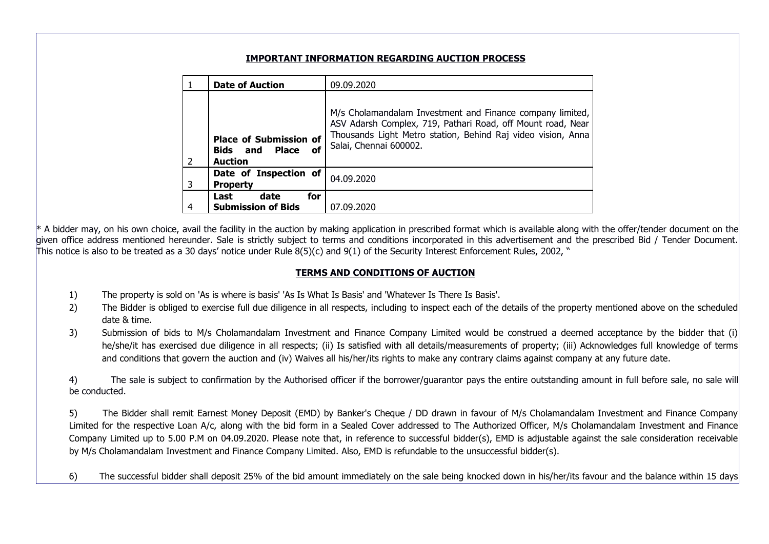|    |               |                                                   | <b>IMPORTANT INFORMATION REGARDING AUCTION PROCESS</b>                                                                                                                                                                                                                                                                                                                                                                                                                                              |  |
|----|---------------|---------------------------------------------------|-----------------------------------------------------------------------------------------------------------------------------------------------------------------------------------------------------------------------------------------------------------------------------------------------------------------------------------------------------------------------------------------------------------------------------------------------------------------------------------------------------|--|
|    |               | <b>Date of Auction</b>                            | 09.09.2020                                                                                                                                                                                                                                                                                                                                                                                                                                                                                          |  |
|    |               |                                                   | M/s Cholamandalam Investment and Finance company limited,                                                                                                                                                                                                                                                                                                                                                                                                                                           |  |
|    |               | <b>Place of Submission of</b>                     | ASV Adarsh Complex, 719, Pathari Road, off Mount road, Near<br>Thousands Light Metro station, Behind Raj video vision, Anna                                                                                                                                                                                                                                                                                                                                                                         |  |
|    |               | <b>Bids</b> and <b>Place</b> of<br><b>Auction</b> | Salai, Chennai 600002.                                                                                                                                                                                                                                                                                                                                                                                                                                                                              |  |
|    |               | Date of Inspection of                             | 04.09.2020                                                                                                                                                                                                                                                                                                                                                                                                                                                                                          |  |
|    |               | <b>Property</b><br>date<br>for<br>Last            |                                                                                                                                                                                                                                                                                                                                                                                                                                                                                                     |  |
|    |               | <b>Submission of Bids</b>                         | 07.09.2020                                                                                                                                                                                                                                                                                                                                                                                                                                                                                          |  |
|    |               |                                                   | * A bidder may, on his own choice, avail the facility in the auction by making application in prescribed format which is available along with the offer/tender document on the<br>given office address mentioned hereunder. Sale is strictly subject to terms and conditions incorporated in this advertisement and the prescribed Bid / Tender Document.<br>This notice is also to be treated as a 30 days' notice under Rule 8(5)(c) and 9(1) of the Security Interest Enforcement Rules, 2002, " |  |
|    |               |                                                   | <b>TERMS AND CONDITIONS OF AUCTION</b>                                                                                                                                                                                                                                                                                                                                                                                                                                                              |  |
| 1) |               |                                                   | The property is sold on 'As is where is basis' 'As Is What Is Basis' and 'Whatever Is There Is Basis'.                                                                                                                                                                                                                                                                                                                                                                                              |  |
| 2) | date & time.  |                                                   | The Bidder is obliged to exercise full due diligence in all respects, including to inspect each of the details of the property mentioned above on the scheduled                                                                                                                                                                                                                                                                                                                                     |  |
| 3) |               |                                                   | Submission of bids to M/s Cholamandalam Investment and Finance Company Limited would be construed a deemed acceptance by the bidder that (i)                                                                                                                                                                                                                                                                                                                                                        |  |
|    |               |                                                   | he/she/it has exercised due diligence in all respects; (ii) Is satisfied with all details/measurements of property; (iii) Acknowledges full knowledge of terms<br>and conditions that govern the auction and (iv) Waives all his/her/its rights to make any contrary claims against company at any future date.                                                                                                                                                                                     |  |
| 4) |               |                                                   | The sale is subject to confirmation by the Authorised officer if the borrower/guarantor pays the entire outstanding amount in full before sale, no sale will                                                                                                                                                                                                                                                                                                                                        |  |
|    | be conducted. |                                                   |                                                                                                                                                                                                                                                                                                                                                                                                                                                                                                     |  |
| 5) |               |                                                   | The Bidder shall remit Earnest Money Deposit (EMD) by Banker's Cheque / DD drawn in favour of M/s Cholamandalam Investment and Finance Company<br>Limited for the respective Loan A/c, along with the bid form in a Sealed Cover addressed to The Authorized Officer, M/s Cholamandalam Investment and Finance                                                                                                                                                                                      |  |
|    |               |                                                   | Company Limited up to 5.00 P.M on 04.09.2020. Please note that, in reference to successful bidder(s), EMD is adjustable against the sale consideration receivable                                                                                                                                                                                                                                                                                                                                   |  |

- 
- 
- 

**Examples to the Bidder shall remit Earnest Money Deposit (EMD)** by Banker's Cheque / DD drawn in rescribed format which is available along with the *diferitender* document on the Bidder shall remit of the finance of the Limited for the respective Loan A/c, along with the bid form in a Sealed Cover addressed to The Authorized Office and the bilance within 15 days<br>
from a Seale Seale Seale Seale Seale Seale Seale Seale Seale Seare and condi Example The same of the fact that is added to the access of the bid and the format which is available along with the offer/tender document on the<br>fitce address mentioned, and the factive in the aution by making applicatio by M<sub>/s</sub> Cholamandalam Investment and The Solicity in the author by making application in prescribed format which is available along with the offer/tender document on the<br>The audiometric Sale is strictly subject to terms a The side of the substitute of the substitute of the substitute of the security interest Enforcement Rules, 2002, "<br>TRAMS AND CONDITIONS OF AUCTION The security interest Enforcement Rules, 2002, "<br>TRAMS AND CONDITIONS OF AU